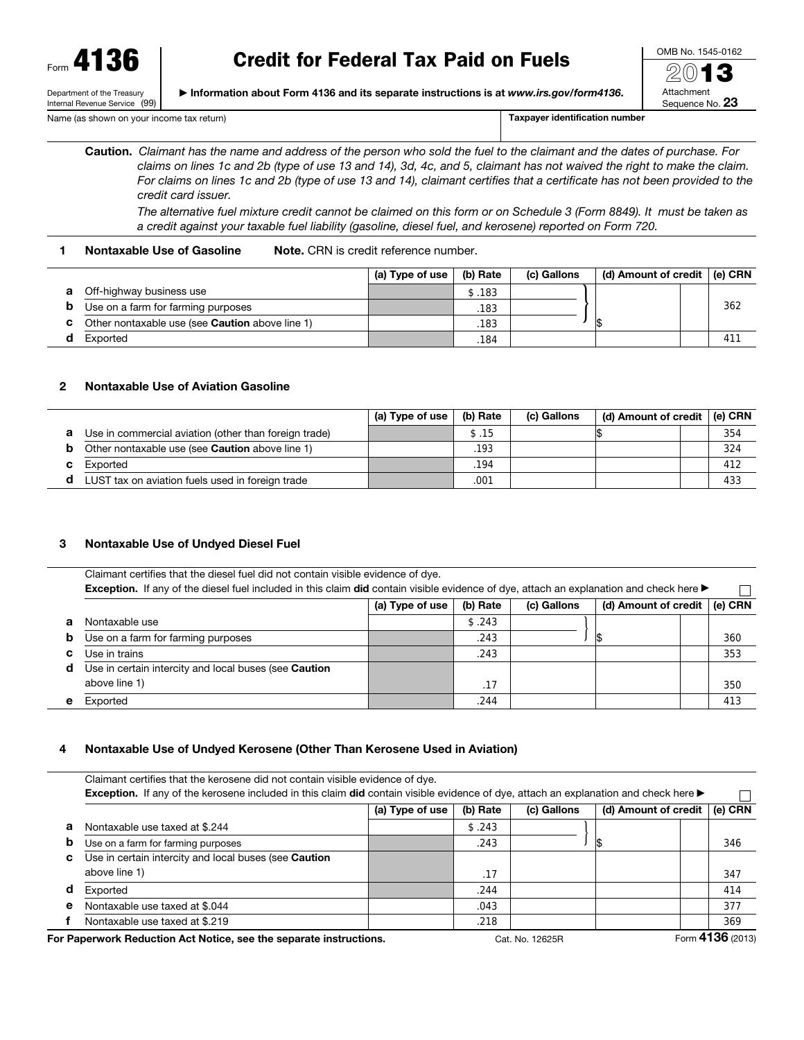Form 4136

Department of the Treasury Internal Revenue Service (99)

# Credit for Federal Tax Paid on Fuels

▶ Information about Form 4136 and its separate instructions is at *www.irs.gov/form4136*.



Name (as shown on your income tax return) Taxpayer identification number

Caution. *Claimant has the name and address of the person who sold the fuel to the claimant and the dates of purchase. For claims on lines 1c and 2b (type of use 13 and 14), 3d, 4c, and 5, claimant has not waived the right to make the claim. For claims on lines 1c and 2b (type of use 13 and 14), claimant certifies that a certificate has not been provided to the credit card issuer.*

*The alternative fuel mixture credit cannot be claimed on this form or on Schedule 3 (Form 8849). It must be taken as a credit against your taxable fuel liability (gasoline, diesel fuel, and kerosene) reported on Form 720.*

# 1 Nontaxable Use of Gasoline Note. CRN is credit reference number.

|                                                        | (a) Type of use | (b) Rate | (c) Gallons | (d) Amount of credit $ $ (e) CRN |     |
|--------------------------------------------------------|-----------------|----------|-------------|----------------------------------|-----|
| Off-highway business use                               |                 | \$.183   |             |                                  |     |
| Use on a farm for farming purposes                     |                 | .183     |             |                                  | 362 |
| Other nontaxable use (see <b>Caution</b> above line 1) |                 | .183     |             |                                  |     |
| Exported                                               |                 | .184     |             |                                  | 411 |

# 2 Nontaxable Use of Aviation Gasoline

|   |                                                       | (a) Type of use | (b) Rate | (c) Gallons | (d) Amount of credit $ $ (e) CRN |     |
|---|-------------------------------------------------------|-----------------|----------|-------------|----------------------------------|-----|
| a | Use in commercial aviation (other than foreign trade) |                 | \$.15    |             |                                  | 354 |
|   | Other nontaxable use (see Caution above line 1)       |                 | .193     |             |                                  | 324 |
| c | Exported                                              |                 | .194     |             |                                  | 412 |
|   | LUST tax on aviation fuels used in foreign trade      |                 | .001     |             |                                  | 433 |

# 3 Nontaxable Use of Undyed Diesel Fuel

Claimant certifies that the diesel fuel did not contain visible evidence of dye. Exception. If any of the diesel fuel included in this claim did contain visible evidence of dye, attach an explanation and check here ▶  $\Box$ 

|    |                                                       | (a) Type of use | (b) Rate | (c) Gallons | (d) Amount of credit $ $ (e) CRN |     |
|----|-------------------------------------------------------|-----------------|----------|-------------|----------------------------------|-----|
| a  | Nontaxable use                                        |                 | \$.243   |             |                                  |     |
| b. | Use on a farm for farming purposes                    |                 | .243     |             |                                  | 360 |
| C. | Use in trains                                         |                 | .243     |             |                                  | 353 |
| d  | Use in certain intercity and local buses (see Caution |                 |          |             |                                  |     |
|    | above line 1)                                         |                 | .17      |             |                                  | 350 |
| е  | Exported                                              |                 | .244     |             |                                  | 413 |

# 4 Nontaxable Use of Undyed Kerosene (Other Than Kerosene Used in Aviation)

|   | Claimant certifies that the kerosene did not contain visible evidence of dye.<br>Exception. If any of the kerosene included in this claim did contain visible evidence of dye, attach an explanation and check here ▶                                |                 |          |             |                      |         |  |
|---|------------------------------------------------------------------------------------------------------------------------------------------------------------------------------------------------------------------------------------------------------|-----------------|----------|-------------|----------------------|---------|--|
|   |                                                                                                                                                                                                                                                      | (a) Type of use | (b) Rate | (c) Gallons | (d) Amount of credit | (e) CRN |  |
| а | Nontaxable use taxed at \$.244                                                                                                                                                                                                                       |                 | \$.243   |             |                      |         |  |
| b | Use on a farm for farming purposes                                                                                                                                                                                                                   |                 | .243     |             |                      | 346     |  |
| C | Use in certain intercity and local buses (see Caution<br>above line 1)                                                                                                                                                                               |                 | .17      |             |                      | 347     |  |
| d | Exported                                                                                                                                                                                                                                             |                 | .244     |             |                      | 414     |  |
| e | Nontaxable use taxed at \$.044                                                                                                                                                                                                                       |                 | .043     |             |                      | 377     |  |
|   | Nontaxable use taxed at \$.219                                                                                                                                                                                                                       |                 | .218     |             |                      | 369     |  |
|   | $T = 1126 (0010)$<br>$\sim$ Production of the contract of the Monter and the contract of the contract of the state of the contract of the contract of the contract of the contract of the contract of the contract of the contract of the contract o |                 |          |             |                      |         |  |

For Paperwork Reduction Act Notice, see the separate instructions. Cat. No. 12625R Form 4136 (2013)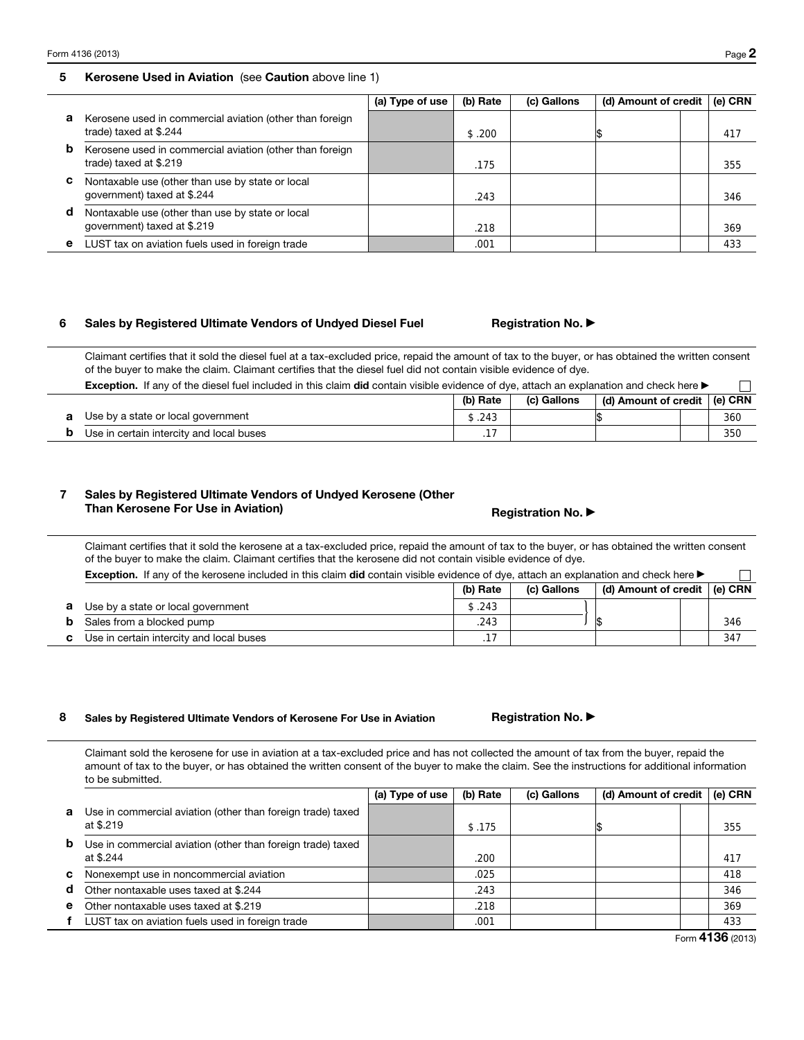### 5 Kerosene Used in Aviation (see Caution above line 1)

|   |                                                                                    | (a) Type of use | (b) Rate | (c) Gallons | (d) Amount of credit $ $ (e) CRN |     |
|---|------------------------------------------------------------------------------------|-----------------|----------|-------------|----------------------------------|-----|
| а | Kerosene used in commercial aviation (other than foreign<br>trade) taxed at \$.244 |                 | \$.200   |             |                                  | 417 |
| b | Kerosene used in commercial aviation (other than foreign<br>trade) taxed at \$.219 |                 | .175     |             |                                  | 355 |
| C | Nontaxable use (other than use by state or local<br>government) taxed at \$.244    |                 | .243     |             |                                  | 346 |
| d | Nontaxable use (other than use by state or local<br>government) taxed at \$.219    |                 | .218     |             |                                  | 369 |
| е | LUST tax on aviation fuels used in foreign trade                                   |                 | .001     |             |                                  | 433 |

# 6 Sales by Registered Ultimate Vendors of Undyed Diesel Fuel Registration No. ▶

Claimant certifies that it sold the diesel fuel at a tax-excluded price, repaid the amount of tax to the buyer, or has obtained the written consent of the buyer to make the claim. Claimant certifies that the diesel fuel did not contain visible evidence of dye.

| <b>Exception.</b> If any of the diesel fuel included in this claim <b>did</b> contain visible evidence of dye, attach an explanation and check here |          |             |                                  |  |     |  |
|-----------------------------------------------------------------------------------------------------------------------------------------------------|----------|-------------|----------------------------------|--|-----|--|
|                                                                                                                                                     | (b) Rate | (c) Gallons | (d) Amount of credit $ $ (e) CRN |  |     |  |
| Use by a state or local government                                                                                                                  | \$.243   |             |                                  |  | 360 |  |
| Use in certain intercity and local buses                                                                                                            |          |             |                                  |  | 350 |  |

# 7 Sales by Registered Ultimate Vendors of Undyed Kerosene (Other Than Kerosene For Use in Aviation) Than Kerosene For Use in Aviation (1) The Registration No. ▶

# Claimant certifies that it sold the kerosene at a tax-excluded price, repaid the amount of tax to the buyer, or has obtained the written consent of the buyer to make the claim. Claimant certifies that the kerosene did not contain visible evidence of dye.

| . If any of the kerosene included in this claim <b>did</b> contain visible evidence of dye, attach an explanation and check here $\blacktriangleright$<br>Exception. |          |             |                                            |  |
|----------------------------------------------------------------------------------------------------------------------------------------------------------------------|----------|-------------|--------------------------------------------|--|
|                                                                                                                                                                      | (b) Rate | (c) Gallons | $\mid$ (d) Amount of credit $\mid$ (e) CRN |  |

| а  | Use by a state or local government       | .243 |  |  |
|----|------------------------------------------|------|--|--|
|    | Sales from a blocked pump                | .243 |  |  |
| c. | Use in certain intercity and local buses | .    |  |  |

### 8 Sales by Registered Ultimate Vendors of Kerosene For Use in Aviation **Registration No. ▶**

Claimant sold the kerosene for use in aviation at a tax-excluded price and has not collected the amount of tax from the buyer, repaid the amount of tax to the buyer, or has obtained the written consent of the buyer to make the claim. See the instructions for additional information to be submitted.

|              |                                                                          | (a) Type of use | (b) Rate | (c) Gallons | (d) Amount of credit | (e) CRN |
|--------------|--------------------------------------------------------------------------|-----------------|----------|-------------|----------------------|---------|
| $\mathbf{a}$ | Use in commercial aviation (other than foreign trade) taxed<br>at \$.219 |                 | \$.175   |             |                      | 355     |
| b            | Use in commercial aviation (other than foreign trade) taxed<br>at \$.244 |                 | .200     |             |                      | 417     |
| C            | Nonexempt use in noncommercial aviation                                  |                 | .025     |             |                      | 418     |
| d            | Other nontaxable uses taxed at \$.244                                    |                 | .243     |             |                      | 346     |
| $\mathbf{e}$ | Other nontaxable uses taxed at \$.219                                    |                 | .218     |             |                      | 369     |
|              | LUST tax on aviation fuels used in foreign trade                         |                 | .001     |             |                      | 433     |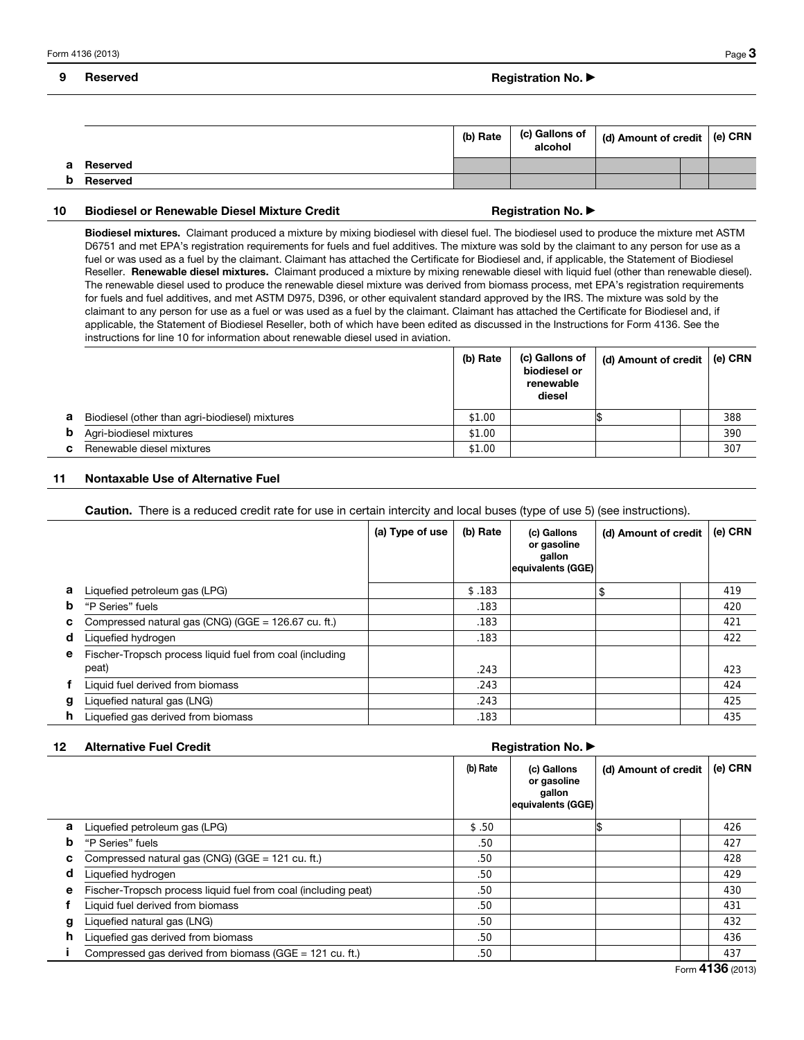## 9 Reserved **Registration No.** ▶ Registration No. ▶ Registration No. ▶ Registration No. ▶ Registration No. ▶ Registration No. ▶ Registration No. ▶ Registration No. ▶ Registration No. ▶ Registration No. ▶ Registration No. ▶

|   |          | (b) Rate | (c) Gallons of | $\vert$ (d) Amount of credit $\vert$ (e) CRN |  |
|---|----------|----------|----------------|----------------------------------------------|--|
| а | Reserved |          |                |                                              |  |
| b | Reserved |          |                |                                              |  |

### 10 Biodiesel or Renewable Diesel Mixture Credit Month Registration No. ▶

Biodiesel mixtures. Claimant produced a mixture by mixing biodiesel with diesel fuel. The biodiesel used to produce the mixture met ASTM D6751 and met EPA's registration requirements for fuels and fuel additives. The mixture was sold by the claimant to any person for use as a fuel or was used as a fuel by the claimant. Claimant has attached the Certificate for Biodiesel and, if applicable, the Statement of Biodiesel Reseller. Renewable diesel mixtures. Claimant produced a mixture by mixing renewable diesel with liquid fuel (other than renewable diesel). The renewable diesel used to produce the renewable diesel mixture was derived from biomass process, met EPA's registration requirements for fuels and fuel additives, and met ASTM D975, D396, or other equivalent standard approved by the IRS. The mixture was sold by the claimant to any person for use as a fuel or was used as a fuel by the claimant. Claimant has attached the Certificate for Biodiesel and, if applicable, the Statement of Biodiesel Reseller, both of which have been edited as discussed in the Instructions for Form 4136. See the instructions for line 10 for information about renewable diesel used in aviation.

|    |                                                | (b) Rate | (c) Gallons of<br>biodiesel or<br>renewable<br>diesel | $\mid$ (d) Amount of credit $\mid$ (e) CRN |     |
|----|------------------------------------------------|----------|-------------------------------------------------------|--------------------------------------------|-----|
| а  | Biodiesel (other than agri-biodiesel) mixtures | \$1.00   |                                                       |                                            | 388 |
| b  | Agri-biodiesel mixtures                        | \$1.00   |                                                       |                                            | 390 |
| C. | Renewable diesel mixtures                      | \$1.00   |                                                       |                                            | 307 |

# 11 Nontaxable Use of Alternative Fuel

Caution. There is a reduced credit rate for use in certain intercity and local buses (type of use 5) (see instructions).

|   |                                                          | (a) Type of use | (b) Rate | (c) Gallons<br>or gasoline<br>gallon<br>equivalents (GGE) | (d) Amount of credit | (e) CRN |
|---|----------------------------------------------------------|-----------------|----------|-----------------------------------------------------------|----------------------|---------|
| a | Liquefied petroleum gas (LPG)                            |                 | \$.183   |                                                           | \$                   | 419     |
| b | "P Series" fuels                                         |                 | .183     |                                                           |                      | 420     |
| с | Compressed natural gas (CNG) (GGE = 126.67 cu. ft.)      |                 | .183     |                                                           |                      | 421     |
| d | Liquefied hydrogen                                       |                 | .183     |                                                           |                      | 422     |
| е | Fischer-Tropsch process liquid fuel from coal (including |                 |          |                                                           |                      |         |
|   | peat)                                                    |                 | .243     |                                                           |                      | 423     |
|   | Liquid fuel derived from biomass                         |                 | .243     |                                                           |                      | 424     |
| g | Liquefied natural gas (LNG)                              |                 | .243     |                                                           |                      | 425     |
| h | Liquefied gas derived from biomass                       |                 | .183     |                                                           |                      | 435     |

### 12 Alternative Fuel Credit Alternation No. ▶ Alternation No. ▶ Registration No. ▶ Registration No. ▶

|   |                                                                | (b) Rate | (c) Gallons<br>or gasoline<br>gallon<br>equivalents (GGE) | (d) Amount of credit | (e) CRN |
|---|----------------------------------------------------------------|----------|-----------------------------------------------------------|----------------------|---------|
| a | Liquefied petroleum gas (LPG)                                  | \$.50    |                                                           |                      | 426     |
| b | "P Series" fuels                                               | .50      |                                                           |                      | 427     |
| с | Compressed natural gas (CNG) (GGE = 121 cu. ft.)               | .50      |                                                           |                      | 428     |
| d | Liquefied hydrogen                                             | .50      |                                                           |                      | 429     |
| e | Fischer-Tropsch process liquid fuel from coal (including peat) | .50      |                                                           |                      | 430     |
|   | Liquid fuel derived from biomass                               | .50      |                                                           |                      | 431     |
| g | Liquefied natural gas (LNG)                                    | .50      |                                                           |                      | 432     |
| h | Liquefied gas derived from biomass                             | .50      |                                                           |                      | 436     |
|   | Compressed gas derived from biomass (GGE = $121$ cu. ft.)      | .50      |                                                           |                      | 437     |